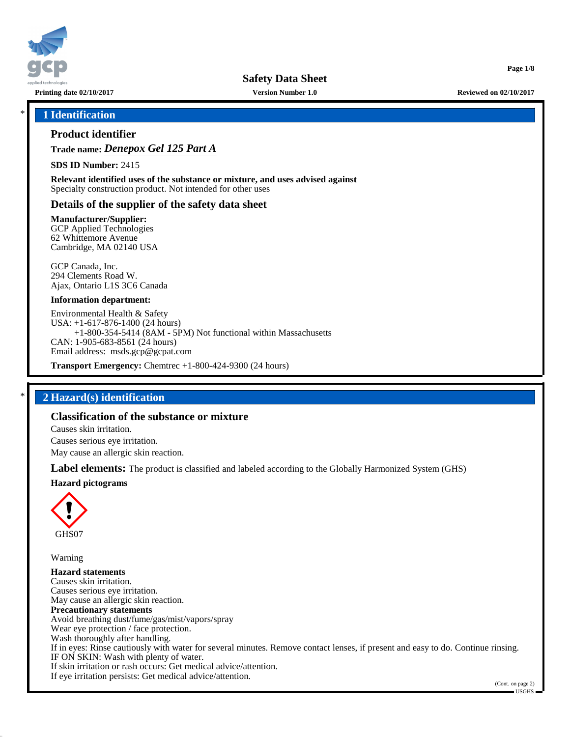

**Printing date 02/10/2017 Version Number 1.0 Reviewed on 02/10/2017**

**Page 1/8**

# \* **1 Identification**

# **Product identifier**

**Trade name:** *Denepox Gel 125 Part A*

**SDS ID Number:** 2415

**Relevant identified uses of the substance or mixture, and uses advised against** Specialty construction product. Not intended for other uses

# **Details of the supplier of the safety data sheet**

**Manufacturer/Supplier:**

GCP Applied Technologies 62 Whittemore Avenue Cambridge, MA 02140 USA

GCP Canada, Inc. 294 Clements Road W. Ajax, Ontario L1S 3C6 Canada

### **Information department:**

Environmental Health & Safety USA: +1-617-876-1400 (24 hours) +1-800-354-5414 (8AM - 5PM) Not functional within Massachusetts CAN: 1-905-683-8561 (24 hours) Email address: msds.gcp@gcpat.com

**Transport Emergency:** Chemtrec +1-800-424-9300 (24 hours)

# \* **2 Hazard(s) identification**

# **Classification of the substance or mixture**

Causes skin irritation.

Causes serious eye irritation.

May cause an allergic skin reaction.

**Label elements:** The product is classified and labeled according to the Globally Harmonized System (GHS)

**Hazard pictograms**



Warning

**Hazard statements** Causes skin irritation. Causes serious eye irritation. May cause an allergic skin reaction. **Precautionary statements** Avoid breathing dust/fume/gas/mist/vapors/spray Wear eye protection / face protection. Wash thoroughly after handling. If in eyes: Rinse cautiously with water for several minutes. Remove contact lenses, if present and easy to do. Continue rinsing. IF ON SKIN: Wash with plenty of water. If skin irritation or rash occurs: Get medical advice/attention. If eye irritation persists: Get medical advice/attention.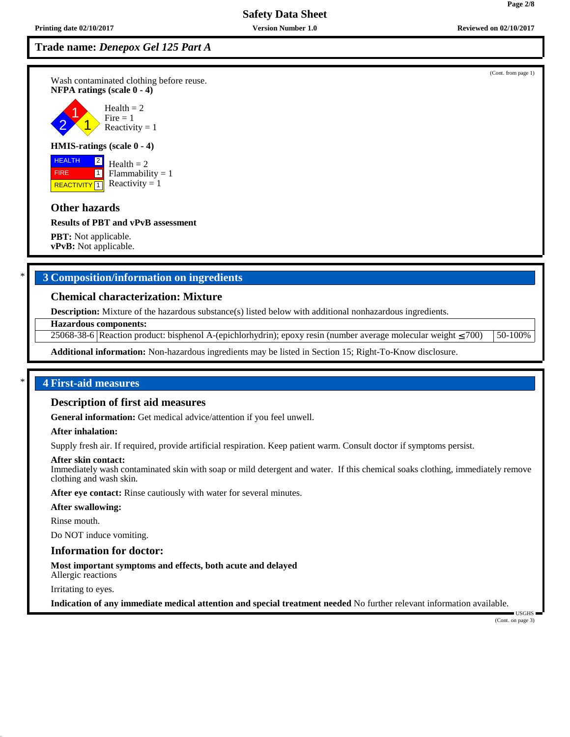Wash contaminated clothing before reuse. **NFPA ratings (scale 0 - 4)**

2 1 1 Health  $= 2$  $Fire = 1$ Reactivity  $= 1$ 

#### **HMIS-ratings (scale 0 - 4)**

**HEALTH**  FIRE **REACTIVITY** 1  $\sqrt{2}$  $\overline{11}$ 

Health  $= 2$  $Flammability = 1$ Reactivity  $= 1$ 

# **Other hazards**

**Results of PBT and vPvB assessment**

**PBT:** Not applicable. **vPvB:** Not applicable.

# \* **3 Composition/information on ingredients**

### **Chemical characterization: Mixture**

**Description:** Mixture of the hazardous substance(s) listed below with additional nonhazardous ingredients.

**Hazardous components:**

25068-38-6 Reaction product: bisphenol A-(epichlorhydrin); epoxy resin (number average molecular weight ≤ 700) 50-100%

**Additional information:** Non-hazardous ingredients may be listed in Section 15; Right-To-Know disclosure.

# \* **4 First-aid measures**

# **Description of first aid measures**

**General information:** Get medical advice/attention if you feel unwell.

### **After inhalation:**

Supply fresh air. If required, provide artificial respiration. Keep patient warm. Consult doctor if symptoms persist.

### **After skin contact:**

Immediately wash contaminated skin with soap or mild detergent and water. If this chemical soaks clothing, immediately remove clothing and wash skin.

**After eye contact:** Rinse cautiously with water for several minutes.

**After swallowing:**

Rinse mouth.

Do NOT induce vomiting.

### **Information for doctor:**

**Most important symptoms and effects, both acute and delayed** Allergic reactions

Irritating to eyes.

**Indication of any immediate medical attention and special treatment needed** No further relevant information available.

(Cont. on page 3)

USGHS

**Page 2/8**

(Cont. from page 1)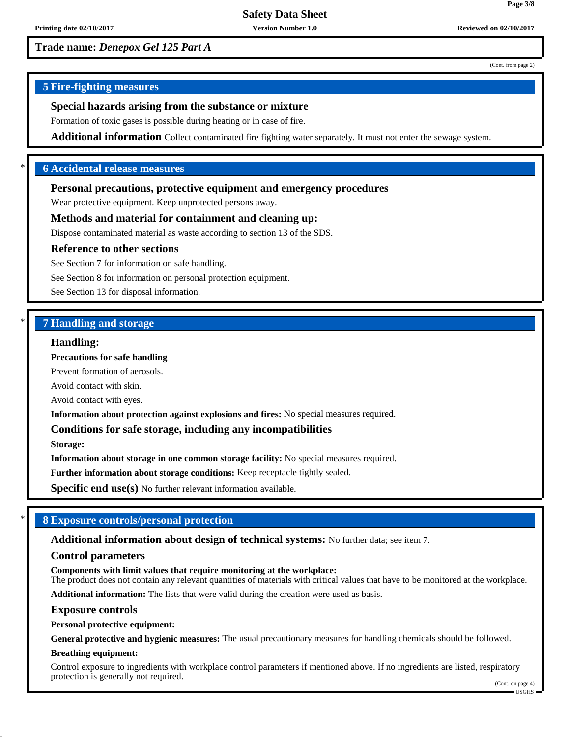(Cont. from page 2)

**Page 3/8**

# **5 Fire-fighting measures**

# **Special hazards arising from the substance or mixture**

Formation of toxic gases is possible during heating or in case of fire.

**Additional information** Collect contaminated fire fighting water separately. It must not enter the sewage system.

# \* **6 Accidental release measures**

### **Personal precautions, protective equipment and emergency procedures**

Wear protective equipment. Keep unprotected persons away.

### **Methods and material for containment and cleaning up:**

Dispose contaminated material as waste according to section 13 of the SDS.

#### **Reference to other sections**

See Section 7 for information on safe handling.

See Section 8 for information on personal protection equipment.

See Section 13 for disposal information.

### \* **7 Handling and storage**

### **Handling:**

**Precautions for safe handling**

Prevent formation of aerosols.

Avoid contact with skin.

Avoid contact with eyes.

**Information about protection against explosions and fires:** No special measures required.

### **Conditions for safe storage, including any incompatibilities**

**Storage:**

**Information about storage in one common storage facility:** No special measures required.

**Further information about storage conditions:** Keep receptacle tightly sealed.

**Specific end use(s)** No further relevant information available.

### \* **8 Exposure controls/personal protection**

### **Additional information about design of technical systems:** No further data; see item 7.

#### **Control parameters**

**Components with limit values that require monitoring at the workplace:**

The product does not contain any relevant quantities of materials with critical values that have to be monitored at the workplace.

**Additional information:** The lists that were valid during the creation were used as basis.

#### **Exposure controls**

**Personal protective equipment:**

**General protective and hygienic measures:** The usual precautionary measures for handling chemicals should be followed.

#### **Breathing equipment:**

Control exposure to ingredients with workplace control parameters if mentioned above. If no ingredients are listed, respiratory protection is generally not required.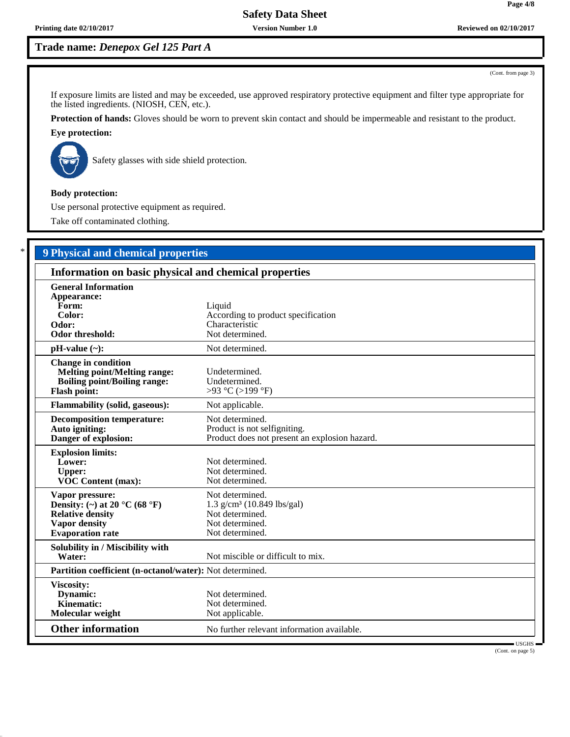**Printing date 02/10/2017 Version Number 1.0 Reviewed on 02/10/2017**

# **Trade name:** *Denepox Gel 125 Part A*

(Cont. from page 3)

If exposure limits are listed and may be exceeded, use approved respiratory protective equipment and filter type appropriate for the listed ingredients. (NIOSH, CEN, etc.).

**Protection of hands:** Gloves should be worn to prevent skin contact and should be impermeable and resistant to the product.

# **Eye protection:**



Safety glasses with side shield protection.

### **Body protection:**

Use personal protective equipment as required.

Take off contaminated clothing.

# \* **9 Physical and chemical properties**

| Information on basic physical and chemical properties                                                                                              |                                                                                                                      |  |
|----------------------------------------------------------------------------------------------------------------------------------------------------|----------------------------------------------------------------------------------------------------------------------|--|
| <b>General Information</b><br>Appearance:<br>Form:<br>Color:<br>Odor:<br><b>Odor threshold:</b>                                                    | Liquid<br>According to product specification<br>Characteristic<br>Not determined.                                    |  |
| $pH-value$ (~):                                                                                                                                    | Not determined.                                                                                                      |  |
| <b>Change in condition</b><br><b>Melting point/Melting range:</b><br><b>Boiling point/Boiling range:</b><br><b>Flash point:</b>                    | Undetermined.<br>Undetermined.<br>>93 °C (>199 °F)                                                                   |  |
| <b>Flammability (solid, gaseous):</b>                                                                                                              | Not applicable.                                                                                                      |  |
| <b>Decomposition temperature:</b><br>Auto igniting:<br>Danger of explosion:                                                                        | Not determined.<br>Product is not selfigniting.<br>Product does not present an explosion hazard.                     |  |
| <b>Explosion limits:</b><br>Lower:<br><b>Upper:</b><br>VOC Content (max):                                                                          | Not determined.<br>Not determined.<br>Not determined.                                                                |  |
| Vapor pressure:<br>Density: (~) at 20 $^{\circ}$ C (68 $^{\circ}$ F)<br><b>Relative density</b><br><b>Vapor density</b><br><b>Evaporation</b> rate | Not determined.<br>$1.3$ g/cm <sup>3</sup> (10.849 lbs/gal)<br>Not determined.<br>Not determined.<br>Not determined. |  |
| Solubility in / Miscibility with<br>Water:                                                                                                         | Not miscible or difficult to mix.                                                                                    |  |
| Partition coefficient (n-octanol/water): Not determined.                                                                                           |                                                                                                                      |  |
| Viscosity:<br>Dynamic:<br>Kinematic:<br>Molecular weight                                                                                           | Not determined.<br>Not determined.<br>Not applicable.                                                                |  |
| <b>Other information</b>                                                                                                                           | No further relevant information available.<br>USGHS                                                                  |  |

(Cont. on page 5)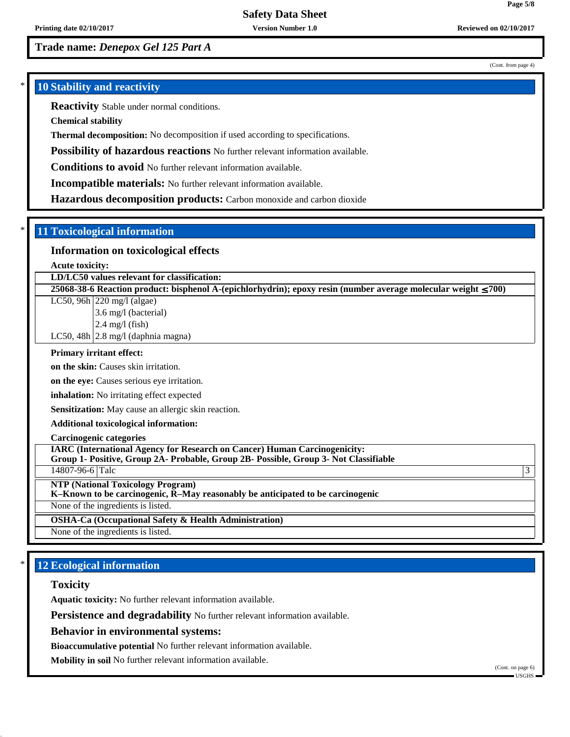(Cont. from page 4)

**Page 5/8**

# **10 Stability and reactivity**

**Reactivity** Stable under normal conditions.

**Chemical stability**

**Thermal decomposition:** No decomposition if used according to specifications.

**Possibility of hazardous reactions** No further relevant information available.

**Conditions to avoid** No further relevant information available.

**Incompatible materials:** No further relevant information available.

**Hazardous decomposition products:** Carbon monoxide and carbon dioxide

### \* **11 Toxicological information**

# **Information on toxicological effects**

**Acute toxicity:**

**LD/LC50 values relevant for classification:**

**25068-38-6 Reaction product: bisphenol A-(epichlorhydrin); epoxy resin (number average molecular weight** ≤ **700)**

LC50, 96h 220 mg/l (algae)

3.6 mg/l (bacterial)

2.4 mg/l (fish)

LC50,  $48h$  2.8 mg/l (daphnia magna)

### **Primary irritant effect:**

**on the skin:** Causes skin irritation.

**on the eye:** Causes serious eye irritation.

**inhalation:** No irritating effect expected

**Sensitization:** May cause an allergic skin reaction.

#### **Additional toxicological information:**

**Carcinogenic categories**

**IARC (International Agency for Research on Cancer) Human Carcinogenicity:**

**Group 1- Positive, Group 2A- Probable, Group 2B- Possible, Group 3- Not Classifiable**

14807-96-6 Talc 3

**NTP (National Toxicology Program)**

**K–Known to be carcinogenic, R–May reasonably be anticipated to be carcinogenic**

None of the ingredients is listed.

**OSHA-Ca (Occupational Safety & Health Administration)**

None of the ingredients is listed.

# **12 Ecological information**

### **Toxicity**

**Aquatic toxicity:** No further relevant information available.

**Persistence and degradability** No further relevant information available.

**Behavior in environmental systems:**

**Bioaccumulative potential** No further relevant information available.

**Mobility in soil** No further relevant information available.

(Cont. on page 6)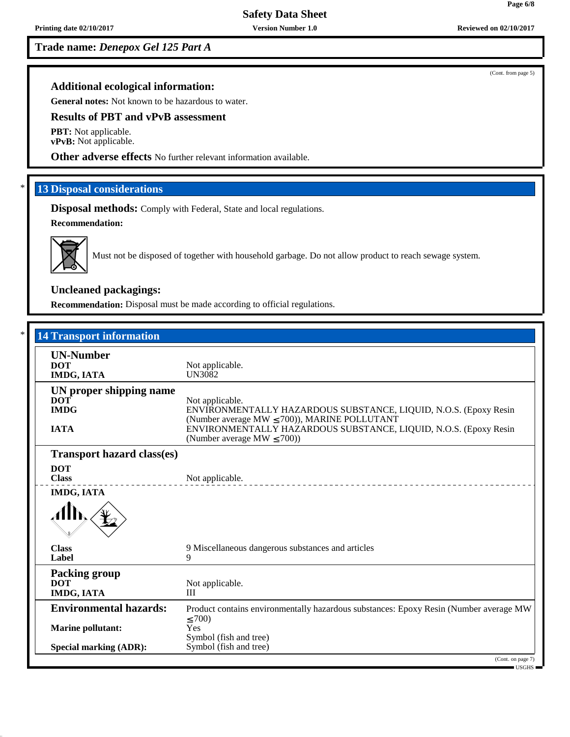# **Additional ecological information:**

**General notes:** Not known to be hazardous to water.

# **Results of PBT and vPvB assessment**

**PBT:** Not applicable. **vPvB:** Not applicable.

**Other adverse effects** No further relevant information available.

### **13 Disposal considerations**

**Disposal methods:** Comply with Federal, State and local regulations. **Recommendation:**



Must not be disposed of together with household garbage. Do not allow product to reach sewage system.

# **Uncleaned packagings:**

**Recommendation:** Disposal must be made according to official regulations.

| <b>14 Transport information</b>                  |                                                                                                                                          |
|--------------------------------------------------|------------------------------------------------------------------------------------------------------------------------------------------|
| <b>UN-Number</b><br><b>DOT</b><br>IMDG, IATA     | Not applicable.<br><b>UN3082</b>                                                                                                         |
| UN proper shipping name                          |                                                                                                                                          |
| <b>DOT</b><br><b>IMDG</b>                        | Not applicable.<br>ENVIRONMENTALLY HAZARDOUS SUBSTANCE, LIQUID, N.O.S. (Epoxy Resin<br>(Number average MW $\leq$ 700)), MARINE POLLUTANT |
| <b>IATA</b>                                      | ENVIRONMENTALLY HAZARDOUS SUBSTANCE, LIQUID, N.O.S. (Epoxy Resin<br>(Number average MW $\leq$ 700))                                      |
| <b>Transport hazard class(es)</b>                |                                                                                                                                          |
| <b>DOT</b><br><b>Class</b>                       | Not applicable.                                                                                                                          |
| IMDG, IATA                                       |                                                                                                                                          |
| <b>Class</b><br>Label                            | 9 Miscellaneous dangerous substances and articles<br>9                                                                                   |
| <b>Packing group</b><br><b>DOT</b><br>IMDG, IATA | Not applicable.<br>III                                                                                                                   |
| <b>Environmental hazards:</b>                    | Product contains environmentally hazardous substances: Epoxy Resin (Number average MW)<br>$\leq 700$                                     |
| <b>Marine pollutant:</b>                         | Yes<br>Symbol (fish and tree)                                                                                                            |
| <b>Special marking (ADR):</b>                    | Symbol (fish and tree)                                                                                                                   |

(Cont. from page 5)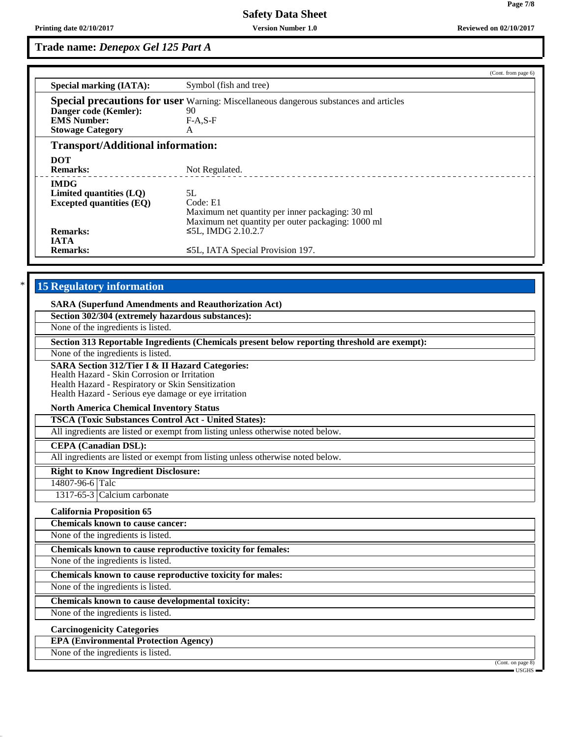**Page 7/8**

# **Trade name:** *Denepox Gel 125 Part A*

|                                          | (Cont. from page 6)                                                                          |  |
|------------------------------------------|----------------------------------------------------------------------------------------------|--|
| <b>Special marking (IATA):</b>           | Symbol (fish and tree)                                                                       |  |
|                                          | <b>Special precautions for user</b> Warning: Miscellaneous dangerous substances and articles |  |
| Danger code (Kemler):                    | 90                                                                                           |  |
| <b>EMS Number:</b>                       | $F-A.S-F$                                                                                    |  |
| <b>Stowage Category</b>                  | A                                                                                            |  |
| <b>Transport/Additional information:</b> |                                                                                              |  |
| <b>DOT</b>                               |                                                                                              |  |
| <b>Remarks:</b>                          | Not Regulated.                                                                               |  |
| <b>IMDG</b>                              |                                                                                              |  |
| Limited quantities $(LQ)$                | 5L                                                                                           |  |
| <b>Excepted quantities (EQ)</b>          | Code: E1                                                                                     |  |
|                                          | Maximum net quantity per inner packaging: 30 ml                                              |  |
|                                          | Maximum net quantity per outer packaging: 1000 ml                                            |  |
| <b>Remarks:</b>                          | $≤5L$ , IMDG 2.10.2.7                                                                        |  |
| <b>IATA</b>                              |                                                                                              |  |
| <b>Remarks:</b>                          | $\leq 5L$ , IATA Special Provision 197.                                                      |  |
|                                          |                                                                                              |  |

# **15 Regulatory information**

| <b>SARA (Superfund Amendments and Reauthorization Act)</b> |  |
|------------------------------------------------------------|--|
| Section 302/304 (extremely hazardous substances):          |  |

None of the ingredients is listed.

**Section 313 Reportable Ingredients (Chemicals present below reporting threshold are exempt):**

None of the ingredients is listed.

**SARA Section 312/Tier I & II Hazard Categories:**

Health Hazard - Skin Corrosion or Irritation

Health Hazard - Respiratory or Skin Sensitization

Health Hazard - Serious eye damage or eye irritation

### **North America Chemical Inventory Status**

**TSCA (Toxic Substances Control Act - United States):**

All ingredients are listed or exempt from listing unless otherwise noted below.

**CEPA (Canadian DSL):**

All ingredients are listed or exempt from listing unless otherwise noted below.

**Right to Know Ingredient Disclosure:**

14807-96-6 Talc

1317-65-3 Calcium carbonate

**California Proposition 65**

**Chemicals known to cause cancer:**

None of the ingredients is listed.

**Chemicals known to cause reproductive toxicity for females:**

None of the ingredients is listed.

**Chemicals known to cause reproductive toxicity for males:**

None of the ingredients is listed.

**Chemicals known to cause developmental toxicity:**

None of the ingredients is listed.

**Carcinogenicity Categories**

**EPA (Environmental Protection Agency)**

None of the ingredients is listed.

(Cont. on page 8)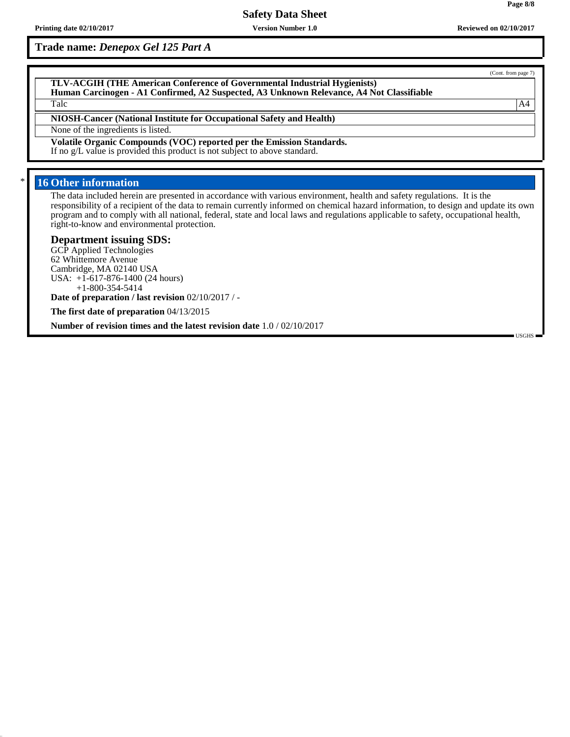**Trade name:** *Denepox Gel 125 Part A*

**TLV-ACGIH (THE American Conference of Governmental Industrial Hygienists) Human Carcinogen - A1 Confirmed, A2 Suspected, A3 Unknown Relevance, A4 Not Classifiable** Talc  $AA$ 

**NIOSH-Cancer (National Institute for Occupational Safety and Health)**

None of the ingredients is listed.

**Volatile Organic Compounds (VOC) reported per the Emission Standards.**

If no g/L value is provided this product is not subject to above standard.

# **16 Other information**

The data included herein are presented in accordance with various environment, health and safety regulations. It is the responsibility of a recipient of the data to remain currently informed on chemical hazard information, to design and update its own program and to comply with all national, federal, state and local laws and regulations applicable to safety, occupational health, right-to-know and environmental protection.

### **Department issuing SDS:**

GCP Applied Technologies 62 Whittemore Avenue Cambridge, MA 02140 USA USA: +1-617-876-1400 (24 hours) +1-800-354-5414

**Date of preparation / last revision** 02/10/2017 / -

**The first date of preparation** 04/13/2015

**Number of revision times and the latest revision date** 1.0 / 02/10/2017

(Cont. from page 7)

USGHS

**Page 8/8**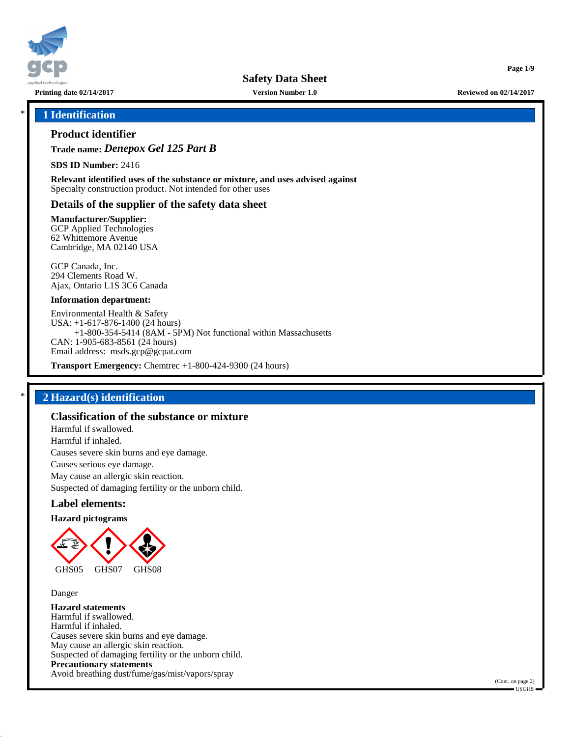

**Printing date 02/14/2017 Version Number 1.0 Reviewed on 02/14/2017**

**Page 1/9**

## \* **1 Identification**

### **Product identifier**

**Trade name:** *Denepox Gel 125 Part B*

**SDS ID Number:** 2416

**Relevant identified uses of the substance or mixture, and uses advised against** Specialty construction product. Not intended for other uses

### **Details of the supplier of the safety data sheet**

**Manufacturer/Supplier:**

GCP Applied Technologies 62 Whittemore Avenue Cambridge, MA 02140 USA

GCP Canada, Inc. 294 Clements Road W. Ajax, Ontario L1S 3C6 Canada

#### **Information department:**

Environmental Health & Safety USA: +1-617-876-1400 (24 hours) +1-800-354-5414 (8AM - 5PM) Not functional within Massachusetts CAN: 1-905-683-8561 (24 hours) Email address: msds.gcp@gcpat.com

**Transport Emergency:** Chemtrec +1-800-424-9300 (24 hours)

# \* **2 Hazard(s) identification**

# **Classification of the substance or mixture**

Harmful if swallowed. Harmful if inhaled. Causes severe skin burns and eye damage. Causes serious eye damage. May cause an allergic skin reaction. Suspected of damaging fertility or the unborn child.

### **Label elements:**

#### **Hazard pictograms**



Danger

**Hazard statements** Harmful if swallowed. Harmful if inhaled. Causes severe skin burns and eye damage. May cause an allergic skin reaction. Suspected of damaging fertility or the unborn child. **Precautionary statements** Avoid breathing dust/fume/gas/mist/vapors/spray

(Cont. on page 2) USGHS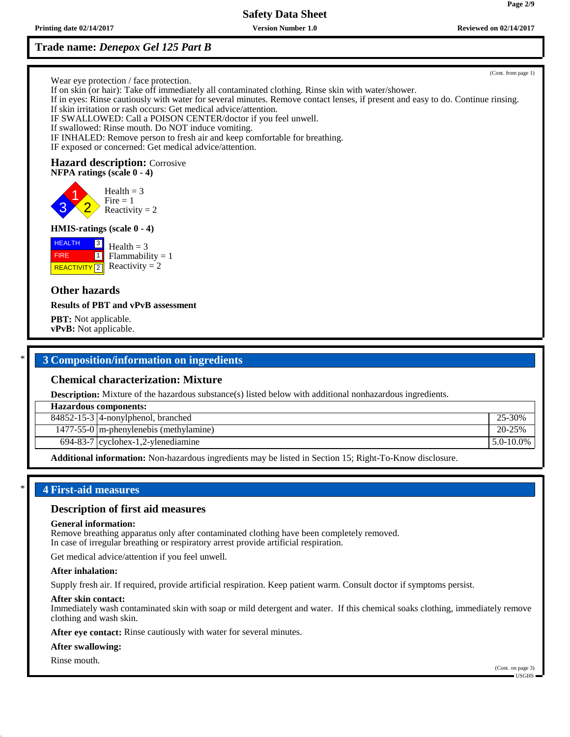**Printing date 02/14/2017 Version Number 1.0 Reviewed on 02/14/2017 Reviewed on 02/14/2017** 

# **Trade name:** *Denepox Gel 125 Part B*

(Cont. from page 1)

Wear eye protection / face protection.

If on skin (or hair): Take off immediately all contaminated clothing. Rinse skin with water/shower. If in eyes: Rinse cautiously with water for several minutes. Remove contact lenses, if present and easy to do. Continue rinsing. If skin irritation or rash occurs: Get medical advice/attention. IF SWALLOWED: Call a POISON CENTER/doctor if you feel unwell. If swallowed: Rinse mouth. Do NOT induce vomiting. IF INHALED: Remove person to fresh air and keep comfortable for breathing.

# **Hazard description:** Corrosive

IF exposed or concerned: Get medical advice/attention.

**NFPA ratings (scale 0 - 4)**

3 1 2  $Health = 3$  $Fire = 1$ Reactivity  $= 2$ 

### **HMIS-ratings (scale 0 - 4)**

**HEALTH**  FIRE **REACTIVITY** 2  $\sqrt{3}$  $\boxed{1}$  $Health = 3$  $Flammability = 1$ Reactivity  $= 2$ 

**Other hazards**

### **Results of PBT and vPvB assessment**

**PBT:** Not applicable. **vPvB:** Not applicable.

# \* **3 Composition/information on ingredients**

### **Chemical characterization: Mixture**

**Description:** Mixture of the hazardous substance(s) listed below with additional nonhazardous ingredients.

| <b>Hazardous components:</b> |                                            |                 |
|------------------------------|--------------------------------------------|-----------------|
|                              | $84852 - 15 - 3$ 4-nonylphenol, branched   | 25-30%          |
|                              | $1477-55-0$   m-phenylenebis (methylamine) | 20-25%          |
|                              | $694-83-7$ cyclohex-1,2-ylenediamine       | $15.0 - 10.0\%$ |
|                              |                                            |                 |

**Additional information:** Non-hazardous ingredients may be listed in Section 15; Right-To-Know disclosure.

# \* **4 First-aid measures**

### **Description of first aid measures**

#### **General information:**

Remove breathing apparatus only after contaminated clothing have been completely removed. In case of irregular breathing or respiratory arrest provide artificial respiration.

Get medical advice/attention if you feel unwell.

### **After inhalation:**

Supply fresh air. If required, provide artificial respiration. Keep patient warm. Consult doctor if symptoms persist.

#### **After skin contact:**

Immediately wash contaminated skin with soap or mild detergent and water. If this chemical soaks clothing, immediately remove clothing and wash skin.

**After eye contact:** Rinse cautiously with water for several minutes.

#### **After swallowing:**

#### Rinse mouth.

(Cont. on page 3)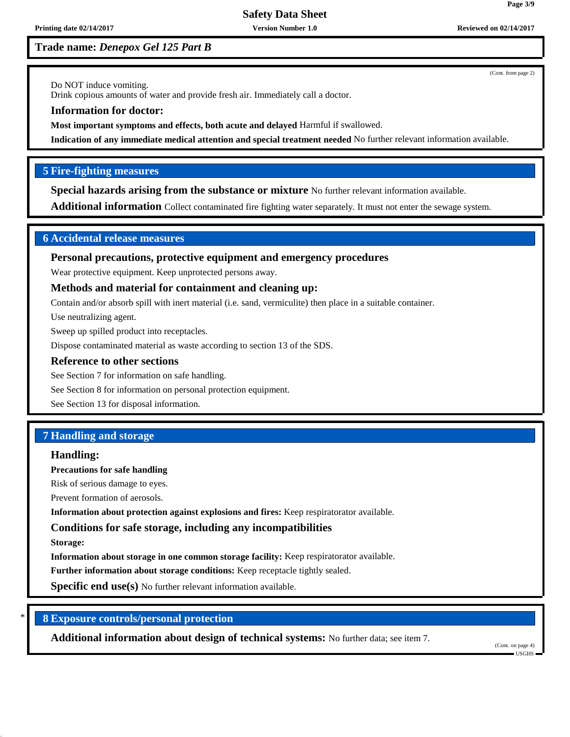**Printing date 02/14/2017 Version Number 1.0 Reviewed on 02/14/2017 Reviewed on 02/14/2017** 

**Trade name:** *Denepox Gel 125 Part B*

(Cont. from page 2)

Do NOT induce vomiting.

Drink copious amounts of water and provide fresh air. Immediately call a doctor.

**Information for doctor:**

**Most important symptoms and effects, both acute and delayed** Harmful if swallowed.

**Indication of any immediate medical attention and special treatment needed** No further relevant information available.

# **5 Fire-fighting measures**

**Special hazards arising from the substance or mixture** No further relevant information available.

**Additional information** Collect contaminated fire fighting water separately. It must not enter the sewage system.

# **6 Accidental release measures**

**Personal precautions, protective equipment and emergency procedures**

Wear protective equipment. Keep unprotected persons away.

# **Methods and material for containment and cleaning up:**

Contain and/or absorb spill with inert material (i.e. sand, vermiculite) then place in a suitable container.

Use neutralizing agent.

Sweep up spilled product into receptacles.

Dispose contaminated material as waste according to section 13 of the SDS.

### **Reference to other sections**

See Section 7 for information on safe handling.

See Section 8 for information on personal protection equipment.

See Section 13 for disposal information.

# **7 Handling and storage**

### **Handling:**

**Precautions for safe handling**

Risk of serious damage to eyes.

Prevent formation of aerosols.

**Information about protection against explosions and fires:** Keep respiratorator available.

# **Conditions for safe storage, including any incompatibilities**

**Storage:**

**Information about storage in one common storage facility:** Keep respiratorator available.

**Further information about storage conditions:** Keep receptacle tightly sealed.

**Specific end use(s)** No further relevant information available.

# \* **8 Exposure controls/personal protection**

**Additional information about design of technical systems:** No further data; see item 7.

(Cont. on page 4) USGHS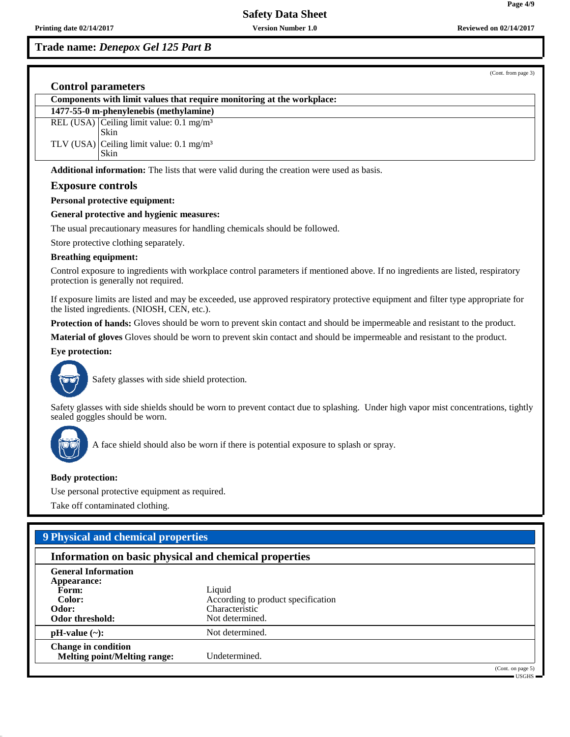**Trade name:** *Denepox Gel 125 Part B*

(Cont. from page 3)

**Page 4/9**

|  | Components with limit values that require monitoring at the workplace: |
|--|------------------------------------------------------------------------|
|  | 1477-55-0 m-phenylenebis (methylamine)                                 |
|  | REL (USA) Ceiling limit value: $0.1 \text{ mg/m}^3$<br>Skin            |
|  | TLV (USA) Ceiling limit value: $0.1 \text{ mg/m}^3$<br>Skin            |
|  |                                                                        |

**Additional information:** The lists that were valid during the creation were used as basis.

### **Exposure controls**

#### **Personal protective equipment:**

### **General protective and hygienic measures:**

The usual precautionary measures for handling chemicals should be followed.

Store protective clothing separately.

#### **Breathing equipment:**

Control exposure to ingredients with workplace control parameters if mentioned above. If no ingredients are listed, respiratory protection is generally not required.

If exposure limits are listed and may be exceeded, use approved respiratory protective equipment and filter type appropriate for the listed ingredients. (NIOSH, CEN, etc.).

**Protection of hands:** Gloves should be worn to prevent skin contact and should be impermeable and resistant to the product.

**Material of gloves** Gloves should be worn to prevent skin contact and should be impermeable and resistant to the product.

#### **Eye protection:**



Safety glasses with side shield protection.

Safety glasses with side shields should be worn to prevent contact due to splashing. Under high vapor mist concentrations, tightly sealed goggles should be worn.



A face shield should also be worn if there is potential exposure to splash or spray.

### **Body protection:**

Use personal protective equipment as required.

Take off contaminated clothing.

# **9 Physical and chemical properties**

# **Information on basic physical and chemical properties**

| <b>General Information</b><br>Appearance:                         |                                    |
|-------------------------------------------------------------------|------------------------------------|
| Form:                                                             | Liquid                             |
| Color:                                                            | According to product specification |
| Odor:                                                             | Characteristic                     |
| Odor threshold:                                                   | Not determined.                    |
| $pH-value$ (~):                                                   | Not determined.                    |
| <b>Change in condition</b><br><b>Melting point/Melting range:</b> | Undetermined.                      |
|                                                                   | (Cont. on page 5)                  |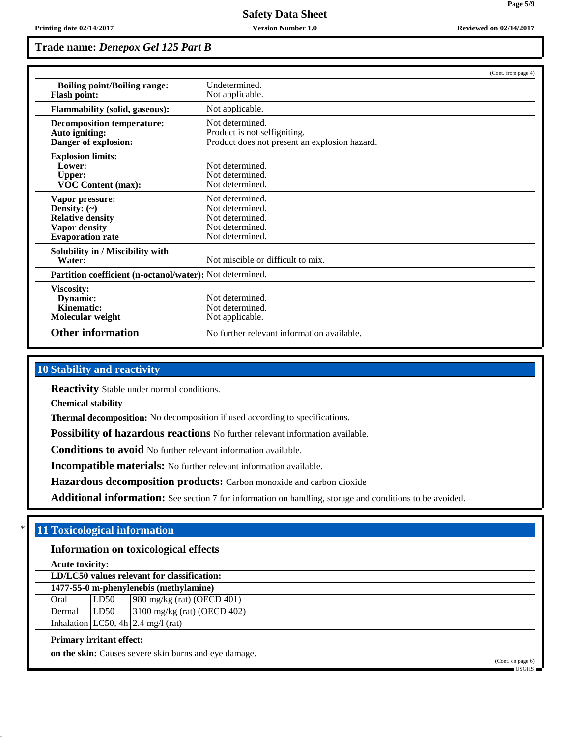**Trade name:** *Denepox Gel 125 Part B*

|                                                                                                                    |                                                                                                  | (Cont. from page 4) |
|--------------------------------------------------------------------------------------------------------------------|--------------------------------------------------------------------------------------------------|---------------------|
| <b>Boiling point/Boiling range:</b><br><b>Flash point:</b>                                                         | Undetermined.<br>Not applicable.                                                                 |                     |
| <b>Flammability (solid, gaseous):</b>                                                                              | Not applicable.                                                                                  |                     |
| <b>Decomposition temperature:</b><br>Auto igniting:<br>Danger of explosion:                                        | Not determined.<br>Product is not selfigniting.<br>Product does not present an explosion hazard. |                     |
| <b>Explosion limits:</b><br>Lower:<br><b>Upper:</b><br><b>VOC Content (max):</b>                                   | Not determined.<br>Not determined.<br>Not determined.                                            |                     |
| Vapor pressure:<br>Density: $(\sim)$<br><b>Relative density</b><br><b>Vapor density</b><br><b>Evaporation rate</b> | Not determined.<br>Not determined.<br>Not determined.<br>Not determined.<br>Not determined.      |                     |
| Solubility in / Miscibility with<br>Water:                                                                         | Not miscible or difficult to mix.                                                                |                     |
| <b>Partition coefficient (n-octanol/water):</b> Not determined.                                                    |                                                                                                  |                     |
| Viscosity:<br>Dynamic:<br>Kinematic:<br>Molecular weight                                                           | Not determined.<br>Not determined.<br>Not applicable.                                            |                     |
| <b>Other information</b>                                                                                           | No further relevant information available.                                                       |                     |

# **10 Stability and reactivity**

**Reactivity** Stable under normal conditions.

**Chemical stability**

**Thermal decomposition:** No decomposition if used according to specifications.

**Possibility of hazardous reactions** No further relevant information available.

**Conditions to avoid** No further relevant information available.

**Incompatible materials:** No further relevant information available.

**Hazardous decomposition products:** Carbon monoxide and carbon dioxide

Additional information: See section 7 for information on handling, storage and conditions to be avoided.

# \* **11 Toxicological information**

# **Information on toxicological effects**

**Acute toxicity: LD/LC50 values relevant for classification:**

**1477-55-0 m-phenylenebis (methylamine)** Oral LD50 980 mg/kg (rat) (OECD 401) Dermal LD50 3100 mg/kg (rat) (OECD 402) Inhalation  $LC50$ , 4h  $2.4$  mg/l (rat)

### **Primary irritant effect:**

**on the skin:** Causes severe skin burns and eye damage.

(Cont. on page 6)  $-$ USGHS

**Page 5/9**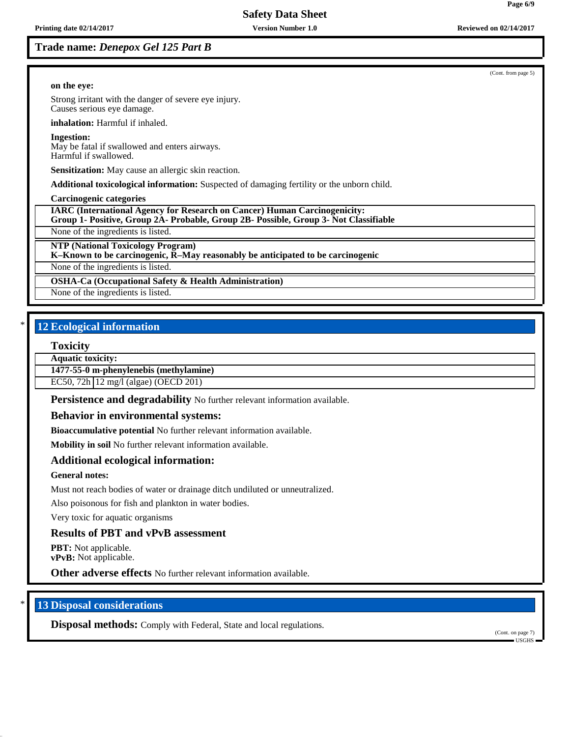### **on the eye:**

Strong irritant with the danger of severe eye injury. Causes serious eye damage.

**inhalation:** Harmful if inhaled.

#### **Ingestion:**

May be fatal if swallowed and enters airways. Harmful if swallowed.

**Sensitization:** May cause an allergic skin reaction.

**Additional toxicological information:** Suspected of damaging fertility or the unborn child.

**Carcinogenic categories**

**IARC (International Agency for Research on Cancer) Human Carcinogenicity:**

**Group 1- Positive, Group 2A- Probable, Group 2B- Possible, Group 3- Not Classifiable**

None of the ingredients is listed.

**NTP (National Toxicology Program)**

**K–Known to be carcinogenic, R–May reasonably be anticipated to be carcinogenic**

None of the ingredients is listed.

**OSHA-Ca (Occupational Safety & Health Administration)**

None of the ingredients is listed.

# **12 Ecological information**

#### **Toxicity**

**Aquatic toxicity:**

**1477-55-0 m-phenylenebis (methylamine)**

EC50, 72h 12 mg/l (algae) (OECD 201)

**Persistence and degradability** No further relevant information available.

### **Behavior in environmental systems:**

**Bioaccumulative potential** No further relevant information available.

**Mobility in soil** No further relevant information available.

# **Additional ecological information:**

### **General notes:**

Must not reach bodies of water or drainage ditch undiluted or unneutralized.

Also poisonous for fish and plankton in water bodies.

Very toxic for aquatic organisms

### **Results of PBT and vPvB assessment**

**PBT:** Not applicable. **vPvB:** Not applicable.

**Other adverse effects** No further relevant information available.

# **13 Disposal considerations**

**Disposal methods:** Comply with Federal, State and local regulations.

(Cont. on page 7) USGHS

(Cont. from page 5)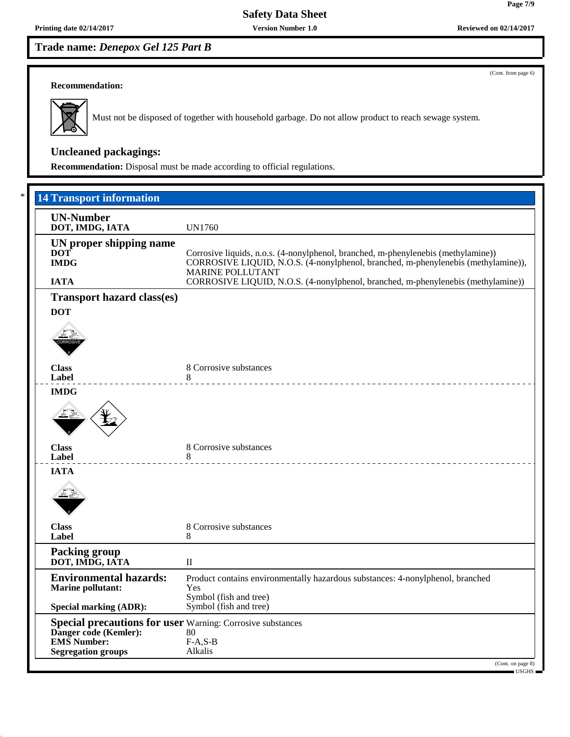(Cont. from page 6)

#### **Recommendation:**



Must not be disposed of together with household garbage. Do not allow product to reach sewage system.

# **Uncleaned packagings:**

**Recommendation:** Disposal must be made according to official regulations.

| <b>UN-Number</b><br>DOT, IMDG, IATA                               | <b>UN1760</b>                                                                                                |
|-------------------------------------------------------------------|--------------------------------------------------------------------------------------------------------------|
| UN proper shipping name                                           |                                                                                                              |
| <b>DOT</b>                                                        | Corrosive liquids, n.o.s. (4-nonylphenol, branched, m-phenylenebis (methylamine))                            |
| <b>IMDG</b>                                                       | CORROSIVE LIQUID, N.O.S. (4-nonylphenol, branched, m-phenylenebis (methylamine)),<br><b>MARINE POLLUTANT</b> |
| <b>IATA</b>                                                       | CORROSIVE LIQUID, N.O.S. (4-nonylphenol, branched, m-phenylenebis (methylamine))                             |
| <b>Transport hazard class(es)</b>                                 |                                                                                                              |
| <b>DOT</b>                                                        |                                                                                                              |
|                                                                   |                                                                                                              |
|                                                                   |                                                                                                              |
|                                                                   |                                                                                                              |
| <b>Class</b>                                                      | 8 Corrosive substances                                                                                       |
| Label                                                             | 8                                                                                                            |
| <b>IMDG</b>                                                       |                                                                                                              |
|                                                                   |                                                                                                              |
| <b>Class</b>                                                      | 8 Corrosive substances                                                                                       |
| Label                                                             |                                                                                                              |
| <b>IATA</b>                                                       |                                                                                                              |
|                                                                   |                                                                                                              |
| <b>Class</b>                                                      | 8 Corrosive substances                                                                                       |
| Label                                                             | 8                                                                                                            |
| <b>Packing group</b><br>DOT, IMDG, IATA                           | $\mathbf{I}$                                                                                                 |
| <b>Environmental hazards:</b>                                     | Product contains environmentally hazardous substances: 4-nonylphenol, branched                               |
| <b>Marine pollutant:</b>                                          | Yes                                                                                                          |
| <b>Special marking (ADR):</b>                                     | Symbol (fish and tree)<br>Symbol (fish and tree)                                                             |
| <b>Special precautions for user</b> Warning: Corrosive substances |                                                                                                              |
| Danger code (Kemler):                                             | 80                                                                                                           |
| <b>EMS</b> Number:                                                | $F-A, S-B$                                                                                                   |
| <b>Segregation groups</b>                                         | Alkalis                                                                                                      |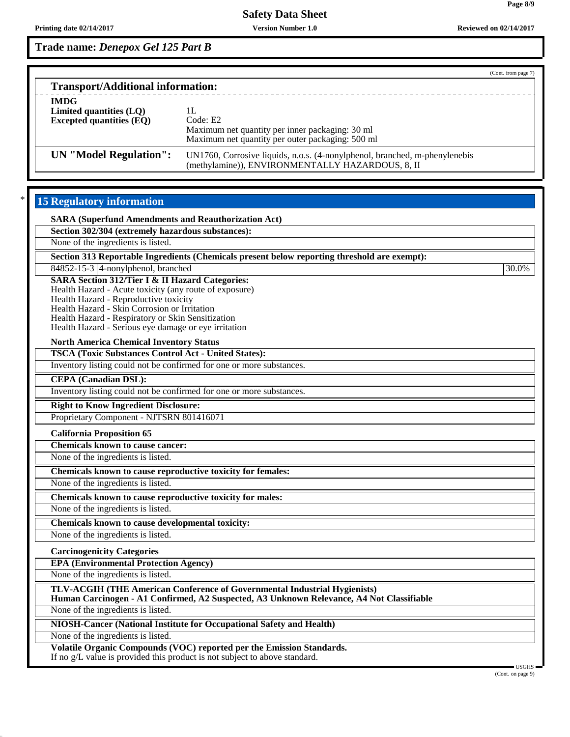|                                                                             | (Cont. from page 7)                                                                                                            |
|-----------------------------------------------------------------------------|--------------------------------------------------------------------------------------------------------------------------------|
| <b>Transport/Additional information:</b>                                    |                                                                                                                                |
| <b>IMDG</b><br>Limited quantities $(LQ)$<br><b>Excepted quantities (EQ)</b> | Code: E2<br>Maximum net quantity per inner packaging: 30 ml<br>Maximum net quantity per outer packaging: 500 ml                |
| UN "Model Regulation":                                                      | UN1760, Corrosive liquids, n.o.s. (4-nonylphenol, branched, m-phenylenebis<br>(methylamine)), ENVIRONMENTALLY HAZARDOUS, 8, II |

# 15 Regulatory information

| <b>SARA (Superfund Amendments and Reauthorization Act)</b>                                                                                                                                                                                                                                                                 |               |
|----------------------------------------------------------------------------------------------------------------------------------------------------------------------------------------------------------------------------------------------------------------------------------------------------------------------------|---------------|
| Section 302/304 (extremely hazardous substances):                                                                                                                                                                                                                                                                          |               |
| None of the ingredients is listed.                                                                                                                                                                                                                                                                                         |               |
| Section 313 Reportable Ingredients (Chemicals present below reporting threshold are exempt):                                                                                                                                                                                                                               |               |
| 84852-15-3 4-nonylphenol, branched                                                                                                                                                                                                                                                                                         | 30.0%         |
| <b>SARA Section 312/Tier I &amp; II Hazard Categories:</b><br>Health Hazard - Acute toxicity (any route of exposure)<br>Health Hazard - Reproductive toxicity<br>Health Hazard - Skin Corrosion or Irritation<br>Health Hazard - Respiratory or Skin Sensitization<br>Health Hazard - Serious eye damage or eye irritation |               |
| <b>North America Chemical Inventory Status</b>                                                                                                                                                                                                                                                                             |               |
| <b>TSCA (Toxic Substances Control Act - United States):</b>                                                                                                                                                                                                                                                                |               |
| Inventory listing could not be confirmed for one or more substances.                                                                                                                                                                                                                                                       |               |
| <b>CEPA</b> (Canadian DSL):                                                                                                                                                                                                                                                                                                |               |
| Inventory listing could not be confirmed for one or more substances.                                                                                                                                                                                                                                                       |               |
| <b>Right to Know Ingredient Disclosure:</b>                                                                                                                                                                                                                                                                                |               |
| Proprietary Component - NJTSRN 801416071                                                                                                                                                                                                                                                                                   |               |
| <b>California Proposition 65</b>                                                                                                                                                                                                                                                                                           |               |
| <b>Chemicals known to cause cancer:</b>                                                                                                                                                                                                                                                                                    |               |
| None of the ingredients is listed.                                                                                                                                                                                                                                                                                         |               |
| Chemicals known to cause reproductive toxicity for females:                                                                                                                                                                                                                                                                |               |
| None of the ingredients is listed.                                                                                                                                                                                                                                                                                         |               |
| Chemicals known to cause reproductive toxicity for males:                                                                                                                                                                                                                                                                  |               |
| None of the ingredients is listed.                                                                                                                                                                                                                                                                                         |               |
| Chemicals known to cause developmental toxicity:                                                                                                                                                                                                                                                                           |               |
| None of the ingredients is listed.                                                                                                                                                                                                                                                                                         |               |
| <b>Carcinogenicity Categories</b>                                                                                                                                                                                                                                                                                          |               |
| <b>EPA (Environmental Protection Agency)</b>                                                                                                                                                                                                                                                                               |               |
| None of the ingredients is listed.                                                                                                                                                                                                                                                                                         |               |
| TLV-ACGIH (THE American Conference of Governmental Industrial Hygienists)<br>Human Carcinogen - A1 Confirmed, A2 Suspected, A3 Unknown Relevance, A4 Not Classifiable                                                                                                                                                      |               |
| None of the ingredients is listed.                                                                                                                                                                                                                                                                                         |               |
| <b>NIOSH-Cancer (National Institute for Occupational Safety and Health)</b>                                                                                                                                                                                                                                                |               |
| None of the ingredients is listed.                                                                                                                                                                                                                                                                                         |               |
| <b>Volatile Organic Compounds (VOC) reported per the Emission Standards.</b><br>If no g/L value is provided this product is not subject to above standard.                                                                                                                                                                 | <b>TCCLIC</b> |